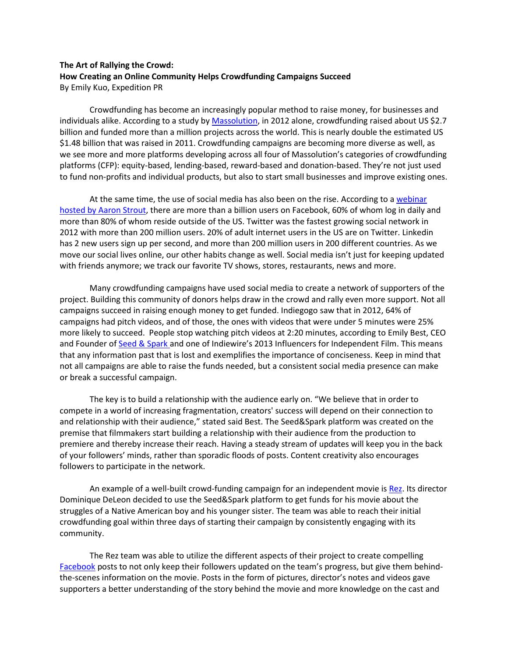## **The Art of Rallying the Crowd: How Creating an Online Community Helps Crowdfunding Campaigns Succeed** By Emily Kuo, Expedition PR

Crowdfunding has become an increasingly popular method to raise money, for businesses and individuals alike. According to a study by [Massolution,](http://www.crowdfunding.nl/wp-content/uploads/2012/05/92834651-Massolution-abridged-Crowd-Funding-Industry-Report1.pdf) in 2012 alone, crowdfunding raised about US \$2.7 billion and funded more than a million projects across the world. This is nearly double the estimated US \$1.48 billion that was raised in 2011. Crowdfunding campaigns are becoming more diverse as well, as we see more and more platforms developing across all four of Massolution's categories of crowdfunding platforms (CFP): equity-based, lending-based, reward-based and donation-based. They're not just used to fund non-profits and individual products, but also to start small businesses and improve existing ones.

At the same time, the use of social media has also been on the rise. According to a [webinar](http://blog.wcgworld.com/2013/05/creating-content-and-engagement-for-facebook-linkedin-and-twitter)  [hosted by Aaron Strout,](http://blog.wcgworld.com/2013/05/creating-content-and-engagement-for-facebook-linkedin-and-twitter) there are more than a billion users on Facebook, 60% of whom log in daily and more than 80% of whom reside outside of the US. Twitter was the fastest growing social network in 2012 with more than 200 million users. 20% of adult internet users in the US are on Twitter. Linkedin has 2 new users sign up per second, and more than 200 million users in 200 different countries. As we move our social lives online, our other habits change as well. Social media isn't just for keeping updated with friends anymore; we track our favorite TV shows, stores, restaurants, news and more.

Many crowdfunding campaigns have used social media to create a network of supporters of the project. Building this community of donors helps draw in the crowd and rally even more support. Not all campaigns succeed in raising enough money to get funded. Indiegogo saw that in 2012, 64% of campaigns had pitch videos, and of those, the ones with videos that were under 5 minutes were 25% more likely to succeed. People stop watching pitch videos at 2:20 minutes, according to Emily Best, CEO and Founder of [Seed & Spark](http://www.seedandspark.com/) and one of Indiewire's 2013 Influencers for Independent Film. This means that any information past that is lost and exemplifies the importance of conciseness. Keep in mind that not all campaigns are able to raise the funds needed, but a consistent social media presence can make or break a successful campaign.

The key is to build a relationship with the audience early on. "We believe that in order to compete in a world of increasing fragmentation, creators' success will depend on their connection to and relationship with their audience," stated said Best. The Seed&Spark platform was created on the premise that filmmakers start building a relationship with their audience from the production to premiere and thereby increase their reach. Having a steady stream of updates will keep you in the back of your followers' minds, rather than sporadic floods of posts. Content creativity also encourages followers to participate in the network.

An example of a well-built crowd-funding campaign for an independent movie is [Rez.](http://www.seedandspark.com/studio/rez) Its director Dominique DeLeon decided to use the Seed&Spark platform to get funds for his movie about the struggles of a Native American boy and his younger sister. The team was able to reach their initial crowdfunding goal within three days of starting their campaign by consistently engaging with its community.

The Rez team was able to utilize the different aspects of their project to create compelling [Facebook](https://www.facebook.com/ontherez) posts to not only keep their followers updated on the team's progress, but give them behindthe-scenes information on the movie. Posts in the form of pictures, director's notes and videos gave supporters a better understanding of the story behind the movie and more knowledge on the cast and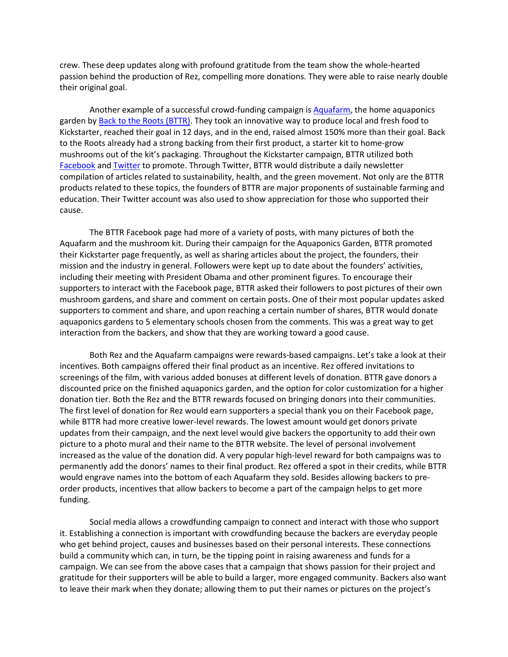crew. These deep updates along with profound gratitude from the team show the whole-hearted passion behind the production of Rez, compelling more donations. They were able to raise nearly double their original goal.

Another example of a successful crowd-funding campaign is [Aquafarm,](http://www.kickstarter.com/projects/2142509221/home-aquaponics-kit-self-cleaning-fish-tank-that-g) the home aquaponics garden by [Back to the Roots](http://www.backtotheroots.com/index.php) (BTTR). They took an innovative way to produce local and fresh food to Kickstarter, reached their goal in 12 days, and in the end, raised almost 150% more than their goal. Back to the Roots already had a strong backing from their first product, a starter kit to home-grow mushrooms out of the kit's packaging. Throughout the Kickstarter campaign, BTTR utilized both [Facebook](https://www.facebook.com/backtotheroots) an[d Twitter](https://twitter.com/bttrventures) to promote. Through Twitter, BTTR would distribute a daily newsletter compilation of articles related to sustainability, health, and the green movement. Not only are the BTTR products related to these topics, the founders of BTTR are major proponents of sustainable farming and education. Their Twitter account was also used to show appreciation for those who supported their cause.

The BTTR Facebook page had more of a variety of posts, with many pictures of both the Aquafarm and the mushroom kit. During their campaign for the Aquaponics Garden, BTTR promoted their Kickstarter page frequently, as well as sharing articles about the project, the founders, their mission and the industry in general. Followers were kept up to date about the founders' activities, including their meeting with President Obama and other prominent figures. To encourage their supporters to interact with the Facebook page, BTTR asked their followers to post pictures of their own mushroom gardens, and share and comment on certain posts. One of their most popular updates asked supporters to comment and share, and upon reaching a certain number of shares, BTTR would donate aquaponics gardens to 5 elementary schools chosen from the comments. This was a great way to get interaction from the backers, and show that they are working toward a good cause.

Both Rez and the Aquafarm campaigns were rewards-based campaigns. Let's take a look at their incentives. Both campaigns offered their final product as an incentive. Rez offered invitations to screenings of the film, with various added bonuses at different levels of donation. BTTR gave donors a discounted price on the finished aquaponics garden, and the option for color customization for a higher donation tier. Both the Rez and the BTTR rewards focused on bringing donors into their communities. The first level of donation for Rez would earn supporters a special thank you on their Facebook page, while BTTR had more creative lower-level rewards. The lowest amount would get donors private updates from their campaign, and the next level would give backers the opportunity to add their own picture to a photo mural and their name to the BTTR website. The level of personal involvement increased as the value of the donation did. A very popular high-level reward for both campaigns was to permanently add the donors' names to their final product. Rez offered a spot in their credits, while BTTR would engrave names into the bottom of each Aquafarm they sold. Besides allowing backers to preorder products, incentives that allow backers to become a part of the campaign helps to get more funding.

Social media allows a crowdfunding campaign to connect and interact with those who support it. Establishing a connection is important with crowdfunding because the backers are everyday people who get behind project, causes and businesses based on their personal interests. These connections build a community which can, in turn, be the tipping point in raising awareness and funds for a campaign. We can see from the above cases that a campaign that shows passion for their project and gratitude for their supporters will be able to build a larger, more engaged community. Backers also want to leave their mark when they donate; allowing them to put their names or pictures on the project's